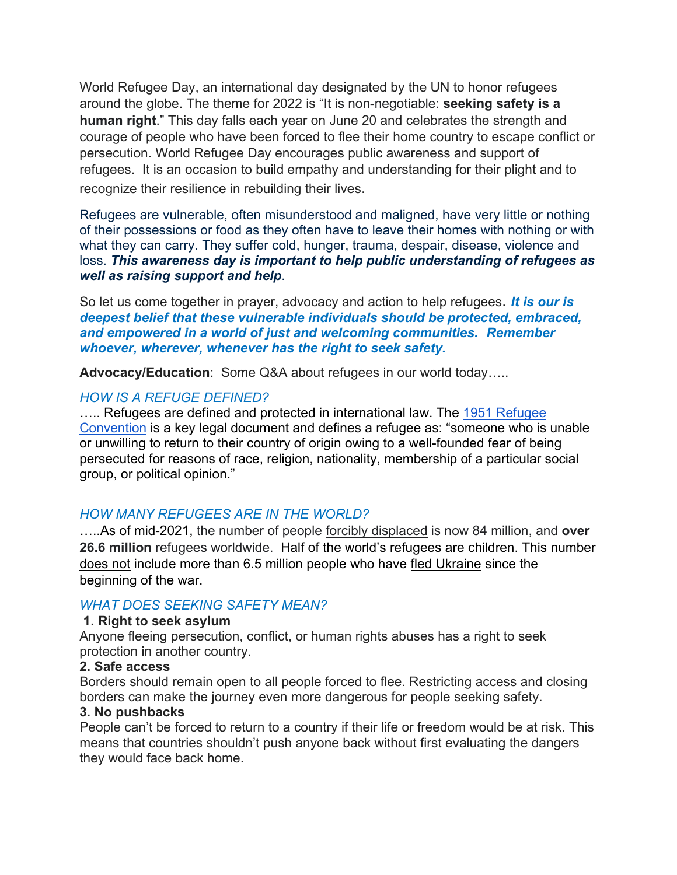World Refugee Day, an international day designated by the UN to honor refugees around the globe. The theme for 2022 is "It is non-negotiable: **seeking safety is a human right**." This day falls each year on June 20 and celebrates the strength and courage of people who have been forced to flee their home country to escape conflict or persecution. World Refugee Day encourages public awareness and support of refugees. It is an occasion to build empathy and understanding for their plight and to recognize their resilience in rebuilding their lives.

Refugees are vulnerable, often misunderstood and maligned, have very little or nothing of their possessions or food as they often have to leave their homes with nothing or with what they can carry. They suffer cold, hunger, trauma, despair, disease, violence and loss. *This awareness day is important to help public understanding of refugees as well as raising support and help*.

So let us come together in prayer, advocacy and action to help refugees. *It is our is deepest belief that these vulnerable individuals should be protected, embraced, and empowered in a world of just and welcoming communities. Remember whoever, wherever, whenever has the right to seek safety.* 

**Advocacy/Education**: Some Q&A about refugees in our world today…..

# *HOW IS A REFUGE DEFINED?*

..... Refugees are defined and protected in international law. The 1951 Refugee [Convention](about:blank) is a key legal document and defines a refugee as: "someone who is unable or unwilling to return to their country of origin owing to a well-founded fear of being persecuted for reasons of race, religion, nationality, membership of a particular social group, or political opinion."

# *HOW MANY REFUGEES ARE IN THE WORLD?*

…..As of mid-2021, the number of people forcibly displaced is now 84 million, and **over 26.6 million** refugees worldwide. Half of the world's refugees are children. This number does not include more than 6.5 million people who have fled Ukraine since the beginning of the war.

## *WHAT DOES SEEKING SAFETY MEAN?*

## **1. Right to seek asylum**

Anyone fleeing persecution, conflict, or human rights abuses has a right to seek protection in another country.

#### **2. Safe access**

Borders should remain open to all people forced to flee. Restricting access and closing borders can make the journey even more dangerous for people seeking safety.

#### **3. No pushbacks**

People can't be forced to return to a country if their life or freedom would be at risk. This means that countries shouldn't push anyone back without first evaluating the dangers they would face back home.